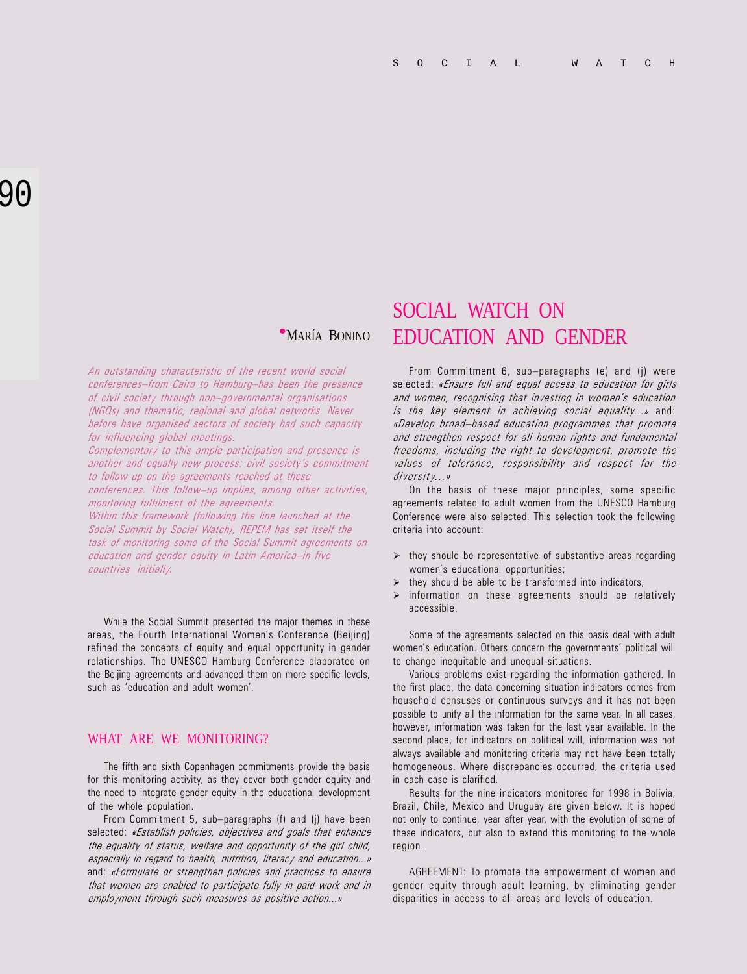An outstanding characteristic of the recent world social conferences-from Cairo to Hamburg-has been the presence of civil society through non-governmental organisations (NGOs) and thematic, regional and global networks. Never before have organised sectors of society had such capacity for influencing global meetings.

Complementary to this ample participation and presence is another and equally new process: civil society's commitment to follow up on the agreements reached at these conferences. This follow-up implies, among other activities,

monitoring fulfilment of the agreements. Within this framework (following the line launched at the Social Summit by Social Watch), REPEM has set itself the task of monitoring some of the Social Summit agreements on

education and gender equity in Latin America-in five countries initially.

While the Social Summit presented the major themes in these areas, the Fourth International Women's Conference (Beijing) refined the concepts of equity and equal opportunity in gender relationships. The UNESCO Hamburg Conference elaborated on the Beijing agreements and advanced them on more specific levels, such as 'education and adult women'.

### WHAT ARE WE MONITORING?

The fifth and sixth Copenhagen commitments provide the basis for this monitoring activity, as they cover both gender equity and the need to integrate gender equity in the educational development of the whole population.

From Commitment 5, sub-paragraphs (f) and (j) have been selected: «Establish policies, objectives and goals that enhance the equality of status, welfare and opportunity of the girl child, especially in regard to health, nutrition, literacy and education...» and: «Formulate or strengthen policies and practices to ensure that women are enabled to participate fully in paid work and in employment through such measures as positive action...»

## SOCIAL WATCH ON **MARÍA BONINO EDUCATION AND GENDER**

From Commitment 6, sub-paragraphs (e) and (j) were selected: «Ensure full and equal access to education for girls and women, recognising that investing in women's education is the key element in achieving social equality...» and: «Develop broad-based education programmes that promote and strengthen respect for all human rights and fundamental freedoms, including the right to development, promote the values of tolerance, responsibility and respect for the diversity...»

On the basis of these major principles, some specific agreements related to adult women from the UNESCO Hamburg Conference were also selected. This selection took the following criteria into account:

- $\triangleright$  they should be representative of substantive areas regarding women's educational opportunities;
- $\triangleright$  they should be able to be transformed into indicators;
- $\triangleright$  information on these agreements should be relatively accessible.

Some of the agreements selected on this basis deal with adult women's education. Others concern the governments' political will to change inequitable and unequal situations.

Various problems exist regarding the information gathered. In the first place, the data concerning situation indicators comes from household censuses or continuous surveys and it has not been possible to unify all the information for the same year. In all cases, however, information was taken for the last year available. In the second place, for indicators on political will, information was not always available and monitoring criteria may not have been totally homogeneous. Where discrepancies occurred, the criteria used in each case is clarified.

Results for the nine indicators monitored for 1998 in Bolivia, Brazil, Chile, Mexico and Uruguay are given below. It is hoped not only to continue, year after year, with the evolution of some of these indicators, but also to extend this monitoring to the whole region.

AGREEMENT: To promote the empowerment of women and gender equity through adult learning, by eliminating gender disparities in access to all areas and levels of education.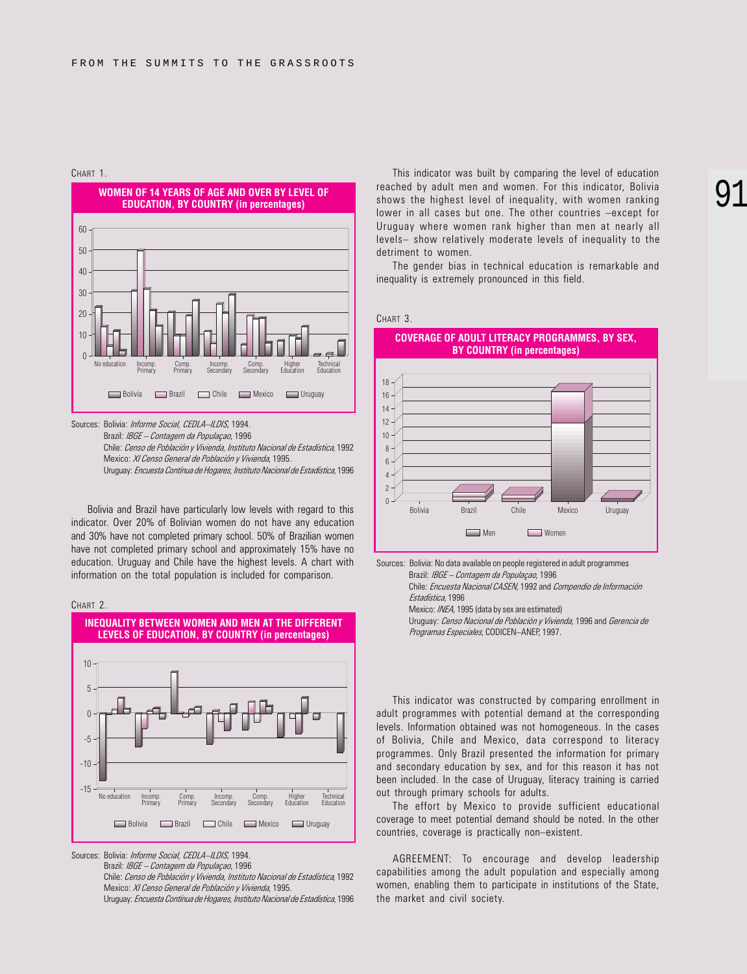



Sources: Bolivia: Informe Social, CEDLA-ILDIS, 1994.

Brazil: IBGE - Contagem da Populaçao, 1996 Chile: Censo de Población y Vivienda, Instituto Nacional de Estadística, 1992 Mexico: XI Censo General de Población y Vivienda, 1995. Uruguay: Encuesta Contínua de Hogares, Instituto Nacional de Estadística, 1996

Bolivia and Brazil have particularly low levels with regard to this indicator. Over 20% of Bolivian women do not have any education and 30% have not completed primary school. 50% of Brazilian women have not completed primary school and approximately 15% have no education. Uruguay and Chile have the highest levels. A chart with information on the total population is included for comparison.



Sources: Bolivia: Informe Social, CEDLA-ILDIS, 1994.

Brazil: IBGE - Contagem da Populaçao, 1996

Chile: Censo de Población y Vivienda, Instituto Nacional de Estadística, 1992 Mexico: XI Censo General de Población y Vivienda, 1995.

Uruguay: Encuesta Contínua de Hogares, Instituto Nacional de Estadística, 1996

This indicator was built by comparing the level of education reached by adult men and women. For this indicator, Bolivia shows the highest level of inequality, with women ranking lower in all cases but one. The other countries -except for Uruguay where women rank higher than men at nearly all levels- show relatively moderate levels of inequality to the detriment to women.

The gender bias in technical education is remarkable and inequality is extremely pronounced in this field.





Sources: Bolivia: No data available on people registered in adult programmes Brazil: IBGE - Contagem da População, 1996 Chile: Encuesta Nacional CASEN, 1992 and Compendio de Información

Estadística, 1996 Mexico: INEA, 1995 (data by sex are estimated)

Uruguay: Censo Nacional de Población y Vivienda, 1996 and Gerencia de Programas Especiales, CODICEN-ANEP, 1997.

This indicator was constructed by comparing enrollment in adult programmes with potential demand at the corresponding levels. Information obtained was not homogeneous. In the cases of Bolivia, Chile and Mexico, data correspond to literacy programmes. Only Brazil presented the information for primary and secondary education by sex, and for this reason it has not been included. In the case of Uruguay, literacy training is carried out through primary schools for adults.

The effort by Mexico to provide sufficient educational coverage to meet potential demand should be noted. In the other countries, coverage is practically non-existent.

AGREEMENT: To encourage and develop leadership capabilities among the adult population and especially among women, enabling them to participate in institutions of the State, the market and civil society.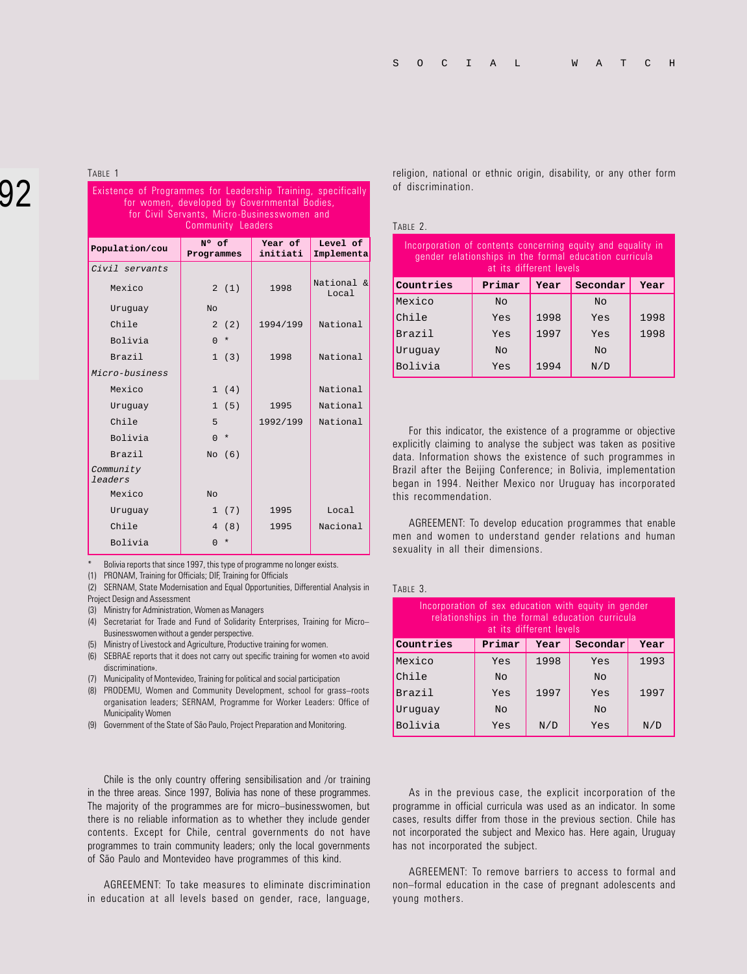# 92

Existence of Programmes for Leadership Training, specifically for women, developed by Governmental Bodies, for Civil Servants, Micro-Businesswomen and Community Leaders **Population/cou** N° of **Programmes Year of initiati Level of Implementa** Civil servants Mexico  $2 (1)$  1998  $\overline{National & \& \atop \overline{National} & \overline{N}}$ Local Uruguay No Chile  $2(2)$  1994/199 National Bolivia | 0 \* Brazil 1 (3) 1998 National Micro-business Mexico 1 (4) National Uruguay  $1 (5)$  1995 National Chile 5 1992/199 National Bolivia 0 \* Brazil  $\overline{N}$  No (6) Community leaders

Chile 1995 Nacional Bolivia | 0 \*

Uruguay 1 (7) 1995 Local

Bolivia reports that since 1997, this type of programme no longer exists.

(1) PRONAM, Training for Officials; DIF, Training for Officials

(2) SERNAM, State Modernisation and Equal Opportunities, Differential Analysis in Project Design and Assessment

(3) Ministry for Administration, Women as Managers

Mexico No

(4) Secretariat for Trade and Fund of Solidarity Enterprises, Training for Micro Businesswomen without a gender perspective.

(5) Ministry of Livestock and Agriculture, Productive training for women.

(6) SEBRAE reports that it does not carry out specific training for women «to avoid discrimination».

(7) Municipality of Montevideo, Training for political and social participation

(8) PRODEMU, Women and Community Development, school for grass-roots organisation leaders; SERNAM, Programme for Worker Leaders: Office of Municipality Women

(9) Government of the State of São Paulo, Project Preparation and Monitoring.

Chile is the only country offering sensibilisation and /or training in the three areas. Since 1997, Bolivia has none of these programmes. The majority of the programmes are for micro-businesswomen, but there is no reliable information as to whether they include gender contents. Except for Chile, central governments do not have programmes to train community leaders; only the local governments of São Paulo and Montevideo have programmes of this kind.

AGREEMENT: To take measures to eliminate discrimination in education at all levels based on gender, race, language,

TABLE 1 religion, national or ethnic origin, disability, or any other form of discrimination.

#### TABLE 2.

| Incorporation of contents concerning equity and equality in<br>gender relationships in the formal education curricula<br>at its different levels |                                    |      |                |      |
|--------------------------------------------------------------------------------------------------------------------------------------------------|------------------------------------|------|----------------|------|
| Countries                                                                                                                                        | Primar<br>Secondar<br>Year<br>Year |      |                |      |
| Mexico                                                                                                                                           | N <sub>O</sub>                     |      | N <sub>O</sub> |      |
| Chile                                                                                                                                            | Yes                                | 1998 | Yes            | 1998 |
| Brazil                                                                                                                                           | Yes                                | 1997 | Yes            | 1998 |
| Uruquay                                                                                                                                          | N <sub>O</sub>                     |      | N <sub>O</sub> |      |
| Bolivia                                                                                                                                          | Yes                                | 1994 | N/D            |      |

For this indicator, the existence of a programme or objective explicitly claiming to analyse the subject was taken as positive data. Information shows the existence of such programmes in Brazil after the Beijing Conference; in Bolivia, implementation began in 1994. Neither Mexico nor Uruguay has incorporated this recommendation.

AGREEMENT: To develop education programmes that enable men and women to understand gender relations and human sexuality in all their dimensions.

#### TABLE 3.

| Incorporation of sex education with equity in gender<br>relationships in the formal education curricula<br>at its different levels |                |      |                |      |  |
|------------------------------------------------------------------------------------------------------------------------------------|----------------|------|----------------|------|--|
| Countries                                                                                                                          | Primar         | Year | Secondar       | Year |  |
| Mexico                                                                                                                             | Yes            | 1998 | Yes            | 1993 |  |
| Chile                                                                                                                              | N <sub>O</sub> |      | N <sub>O</sub> |      |  |
| <b>Brazil</b>                                                                                                                      | Yes            | 1997 | Yes            | 1997 |  |
| Uruquay                                                                                                                            | N <sub>O</sub> |      | N <sub>O</sub> |      |  |
| Bolivia                                                                                                                            | Yes            | N/D  | Yes            | N/D  |  |

As in the previous case, the explicit incorporation of the programme in official curricula was used as an indicator. In some cases, results differ from those in the previous section. Chile has not incorporated the subject and Mexico has. Here again, Uruguay has not incorporated the subject.

AGREEMENT: To remove barriers to access to formal and non-formal education in the case of pregnant adolescents and young mothers.